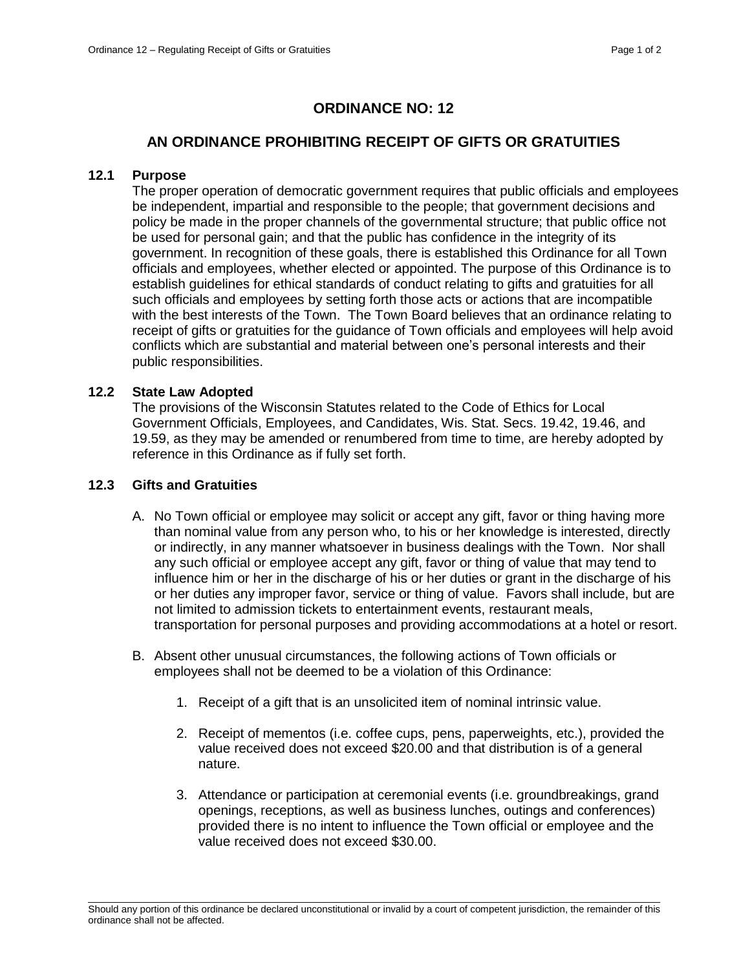# **ORDINANCE NO: 12**

## **AN ORDINANCE PROHIBITING RECEIPT OF GIFTS OR GRATUITIES**

### **12.1 Purpose**

The proper operation of democratic government requires that public officials and employees be independent, impartial and responsible to the people; that government decisions and policy be made in the proper channels of the governmental structure; that public office not be used for personal gain; and that the public has confidence in the integrity of its government. In recognition of these goals, there is established this Ordinance for all Town officials and employees, whether elected or appointed. The purpose of this Ordinance is to establish guidelines for ethical standards of conduct relating to gifts and gratuities for all such officials and employees by setting forth those acts or actions that are incompatible with the best interests of the Town. The Town Board believes that an ordinance relating to receipt of gifts or gratuities for the guidance of Town officials and employees will help avoid conflicts which are substantial and material between one's personal interests and their public responsibilities.

## **12.2 State Law Adopted**

The provisions of the Wisconsin Statutes related to the Code of Ethics for Local Government Officials, Employees, and Candidates, Wis. Stat. Secs. 19.42, 19.46, and 19.59, as they may be amended or renumbered from time to time, are hereby adopted by reference in this Ordinance as if fully set forth.

#### **12.3 Gifts and Gratuities**

- A. No Town official or employee may solicit or accept any gift, favor or thing having more than nominal value from any person who, to his or her knowledge is interested, directly or indirectly, in any manner whatsoever in business dealings with the Town. Nor shall any such official or employee accept any gift, favor or thing of value that may tend to influence him or her in the discharge of his or her duties or grant in the discharge of his or her duties any improper favor, service or thing of value. Favors shall include, but are not limited to admission tickets to entertainment events, restaurant meals, transportation for personal purposes and providing accommodations at a hotel or resort.
- B. Absent other unusual circumstances, the following actions of Town officials or employees shall not be deemed to be a violation of this Ordinance:
	- 1. Receipt of a gift that is an unsolicited item of nominal intrinsic value.
	- 2. Receipt of mementos (i.e. coffee cups, pens, paperweights, etc.), provided the value received does not exceed \$20.00 and that distribution is of a general nature.
	- 3. Attendance or participation at ceremonial events (i.e. groundbreakings, grand openings, receptions, as well as business lunches, outings and conferences) provided there is no intent to influence the Town official or employee and the value received does not exceed \$30.00.